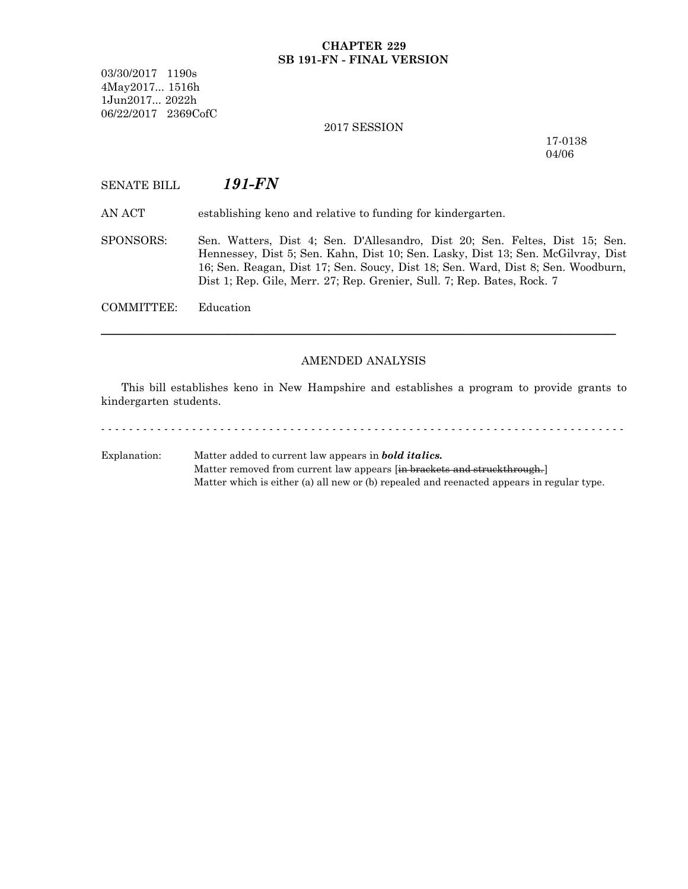## **CHAPTER 229 SB 191-FN - FINAL VERSION**

03/30/2017 1190s 4May2017... 1516h 1Jun2017... 2022h 06/22/2017 2369CofC

#### 2017 SESSION

17-0138 04/06

# SENATE BILL *191-FN*

AN ACT establishing keno and relative to funding for kindergarten.

SPONSORS: Sen. Watters, Dist 4; Sen. D'Allesandro, Dist 20; Sen. Feltes, Dist 15; Sen. Hennessey, Dist 5; Sen. Kahn, Dist 10; Sen. Lasky, Dist 13; Sen. McGilvray, Dist 16; Sen. Reagan, Dist 17; Sen. Soucy, Dist 18; Sen. Ward, Dist 8; Sen. Woodburn, Dist 1; Rep. Gile, Merr. 27; Rep. Grenier, Sull. 7; Rep. Bates, Rock. 7

COMMITTEE: Education

## AMENDED ANALYSIS

─────────────────────────────────────────────────────────────────

This bill establishes keno in New Hampshire and establishes a program to provide grants to kindergarten students.

- - - - - - - - - - - - - - - - - - - - - - - - - - - - - - - - - - - - - - - - - - - - - - - - - - - - - - - - - - - - - - - - - - - - - - - - - - -

Explanation: Matter added to current law appears in *bold italics.* Matter removed from current law appears [in brackets and struckthrough.] Matter which is either (a) all new or (b) repealed and reenacted appears in regular type.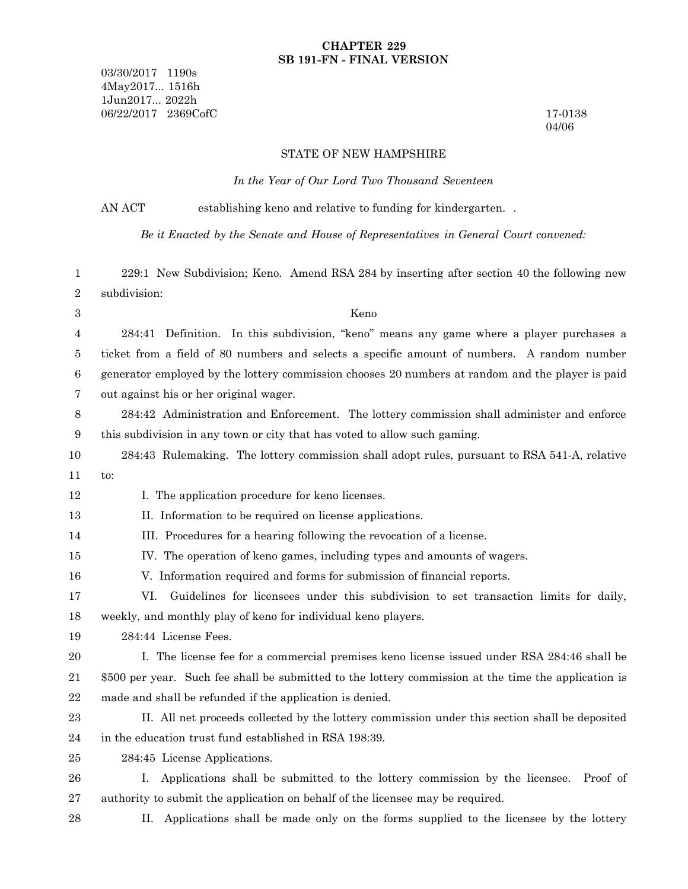## **CHAPTER 229 SB 191-FN - FINAL VERSION**

03/30/2017 1190s 4May2017... 1516h 1Jun2017... 2022h 06/22/2017 2369CofC 17-0138

04/06

#### STATE OF NEW HAMPSHIRE

*In the Year of Our Lord Two Thousand Seventeen*

AN ACT establishing keno and relative to funding for kindergarten.

*Be it Enacted by the Senate and House of Representatives in General Court convened:*

229:1 New Subdivision; Keno. Amend RSA 284 by inserting after section 40 the following new subdivision: 1 2

3

12

## Keno

284:41 Definition. In this subdivision, "keno" means any game where a player purchases a ticket from a field of 80 numbers and selects a specific amount of numbers. A random number generator employed by the lottery commission chooses 20 numbers at random and the player is paid out against his or her original wager. 4 5 6 7

284:42 Administration and Enforcement. The lottery commission shall administer and enforce this subdivision in any town or city that has voted to allow such gaming. 8 9

284:43 Rulemaking. The lottery commission shall adopt rules, pursuant to RSA 541-A, relative to: 10 11

I. The application procedure for keno licenses.

- II. Information to be required on license applications. 13
- III. Procedures for a hearing following the revocation of a license. 14
- IV. The operation of keno games, including types and amounts of wagers. 15

V. Information required and forms for submission of financial reports. 16

- VI. Guidelines for licensees under this subdivision to set transaction limits for daily, weekly, and monthly play of keno for individual keno players. 17 18
- 284:44 License Fees. 19

I. The license fee for a commercial premises keno license issued under RSA 284:46 shall be \$500 per year. Such fee shall be submitted to the lottery commission at the time the application is made and shall be refunded if the application is denied. 20 21 22

- II. All net proceeds collected by the lottery commission under this section shall be deposited in the education trust fund established in RSA 198:39. 23 24
- 284:45 License Applications. 25
- I. Applications shall be submitted to the lottery commission by the licensee. Proof of authority to submit the application on behalf of the licensee may be required. 26 27
- 28

II. Applications shall be made only on the forms supplied to the licensee by the lottery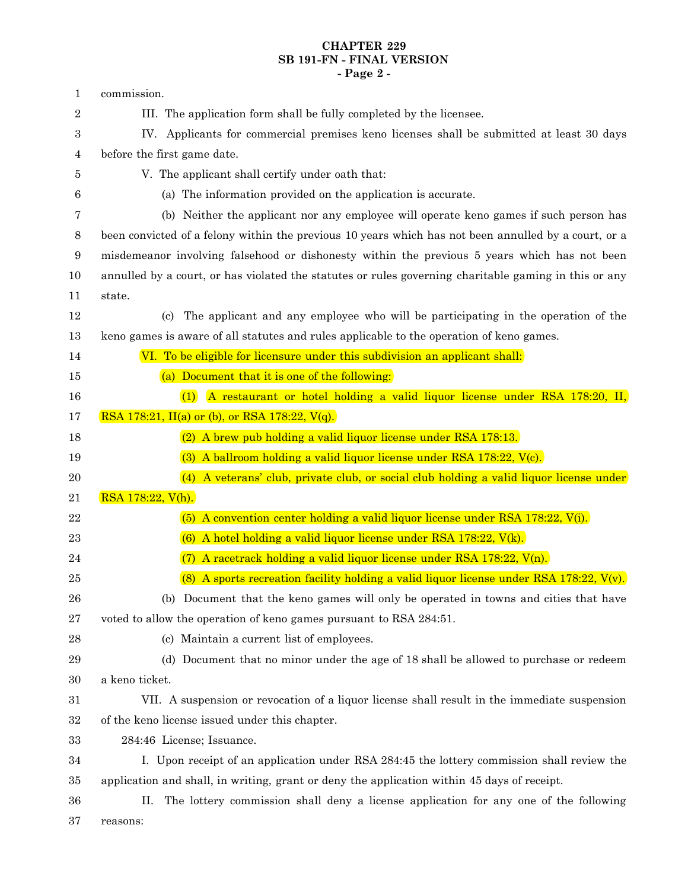# **CHAPTER 229 SB 191-FN - FINAL VERSION - Page 2 -**

| 1                | commission.                                                                                           |
|------------------|-------------------------------------------------------------------------------------------------------|
| $\boldsymbol{2}$ | III. The application form shall be fully completed by the licensee.                                   |
| 3                | IV. Applicants for commercial premises keno licenses shall be submitted at least 30 days              |
| $\overline{4}$   | before the first game date.                                                                           |
| 5                | V. The applicant shall certify under oath that:                                                       |
| 6                | (a) The information provided on the application is accurate.                                          |
| 7                | (b) Neither the applicant nor any employee will operate keno games if such person has                 |
| $8\,$            | been convicted of a felony within the previous 10 years which has not been annulled by a court, or a  |
| 9                | misdemeanor involving falsehood or dishonesty within the previous 5 years which has not been          |
| 10               | annulled by a court, or has violated the statutes or rules governing charitable gaming in this or any |
| 11               | state.                                                                                                |
| 12               | The applicant and any employee who will be participating in the operation of the<br>(c)               |
| 13               | keno games is aware of all statutes and rules applicable to the operation of keno games.              |
| 14               | VI. To be eligible for licensure under this subdivision an applicant shall:                           |
| 15               | (a) Document that it is one of the following:                                                         |
| 16               | A restaurant or hotel holding a valid liquor license under RSA 178:20, II,<br>(1)                     |
| 17               | RSA 178:21, II(a) or (b), or RSA 178:22, $V(q)$ .                                                     |
| 18               | (2) A brew pub holding a valid liquor license under RSA 178:13.                                       |
| 19               | (3) A ballroom holding a valid liquor license under RSA 178:22, V(c).                                 |
| 20               | (4) A veterans' club, private club, or social club holding a valid liquor license under               |
| 21               | RSA 178:22, V(h).                                                                                     |
| 22               | (5) A convention center holding a valid liquor license under RSA $178:22$ , V(i).                     |
| 23               | $(6)$ A hotel holding a valid liquor license under RSA 178:22, $V(k)$ .                               |
| 24               | A racetrack holding a valid liquor license under RSA 178:22, V(n).                                    |
| 25               | (8) A sports recreation facility holding a valid liquor license under RSA 178:22, $V(v)$ .            |
| 26               | (b) Document that the keno games will only be operated in towns and cities that have                  |
| $27\,$           | voted to allow the operation of keno games pursuant to RSA 284:51.                                    |
| $\bf{28}$        | (c) Maintain a current list of employees.                                                             |
| 29               | (d) Document that no minor under the age of 18 shall be allowed to purchase or redeem                 |
| 30               | a keno ticket.                                                                                        |
| 31               | VII. A suspension or revocation of a liquor license shall result in the immediate suspension          |
| 32               | of the keno license issued under this chapter.                                                        |
| 33               | 284:46 License; Issuance.                                                                             |
| 34               | I. Upon receipt of an application under RSA 284:45 the lottery commission shall review the            |
| 35               | application and shall, in writing, grant or deny the application within 45 days of receipt.           |
|                  |                                                                                                       |
| 36               | The lottery commission shall deny a license application for any one of the following<br>П.            |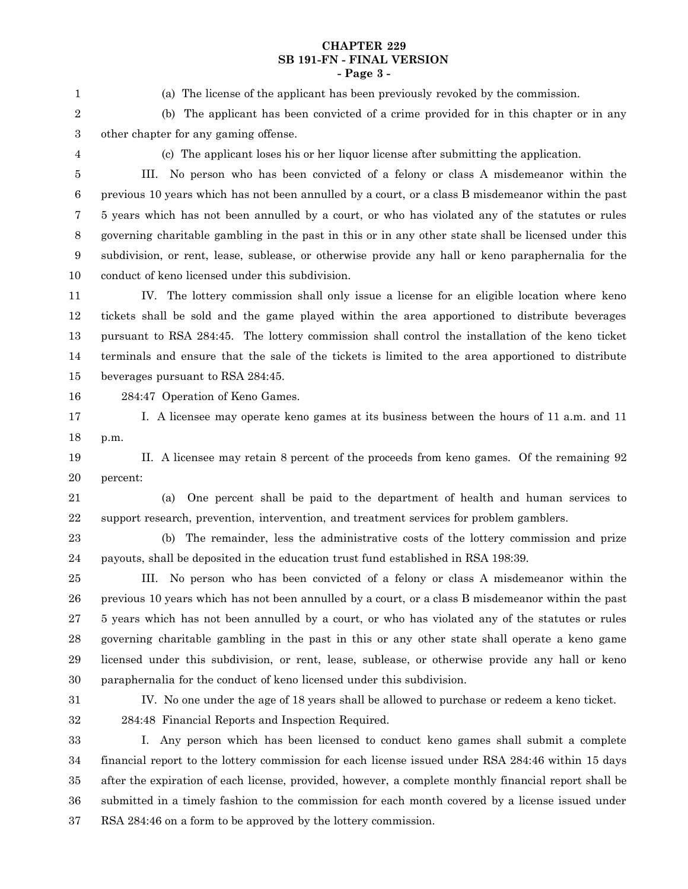## **CHAPTER 229 SB 191-FN - FINAL VERSION - Page 3 -**

1

(a) The license of the applicant has been previously revoked by the commission.

(b) The applicant has been convicted of a crime provided for in this chapter or in any other chapter for any gaming offense. 2 3

4

(c) The applicant loses his or her liquor license after submitting the application.

III. No person who has been convicted of a felony or class A misdemeanor within the previous 10 years which has not been annulled by a court, or a class B misdemeanor within the past 5 years which has not been annulled by a court, or who has violated any of the statutes or rules governing charitable gambling in the past in this or in any other state shall be licensed under this subdivision, or rent, lease, sublease, or otherwise provide any hall or keno paraphernalia for the conduct of keno licensed under this subdivision. 5 6 7 8 9 10

IV. The lottery commission shall only issue a license for an eligible location where keno tickets shall be sold and the game played within the area apportioned to distribute beverages pursuant to RSA 284:45. The lottery commission shall control the installation of the keno ticket terminals and ensure that the sale of the tickets is limited to the area apportioned to distribute beverages pursuant to RSA 284:45. 11 12 13 14 15

16

284:47 Operation of Keno Games.

I. A licensee may operate keno games at its business between the hours of 11 a.m. and 11 p.m. 17 18

II. A licensee may retain 8 percent of the proceeds from keno games. Of the remaining 92 percent: 19 20

21

(a) One percent shall be paid to the department of health and human services to support research, prevention, intervention, and treatment services for problem gamblers. 22

(b) The remainder, less the administrative costs of the lottery commission and prize payouts, shall be deposited in the education trust fund established in RSA 198:39. 23 24

III. No person who has been convicted of a felony or class A misdemeanor within the previous 10 years which has not been annulled by a court, or a class B misdemeanor within the past 5 years which has not been annulled by a court, or who has violated any of the statutes or rules governing charitable gambling in the past in this or any other state shall operate a keno game licensed under this subdivision, or rent, lease, sublease, or otherwise provide any hall or keno paraphernalia for the conduct of keno licensed under this subdivision. 25 26 27 28 29 30

31

IV. No one under the age of 18 years shall be allowed to purchase or redeem a keno ticket. 284:48 Financial Reports and Inspection Required.

32 33

I. Any person which has been licensed to conduct keno games shall submit a complete financial report to the lottery commission for each license issued under RSA 284:46 within 15 days after the expiration of each license, provided, however, a complete monthly financial report shall be submitted in a timely fashion to the commission for each month covered by a license issued under RSA 284:46 on a form to be approved by the lottery commission. 34 35 36 37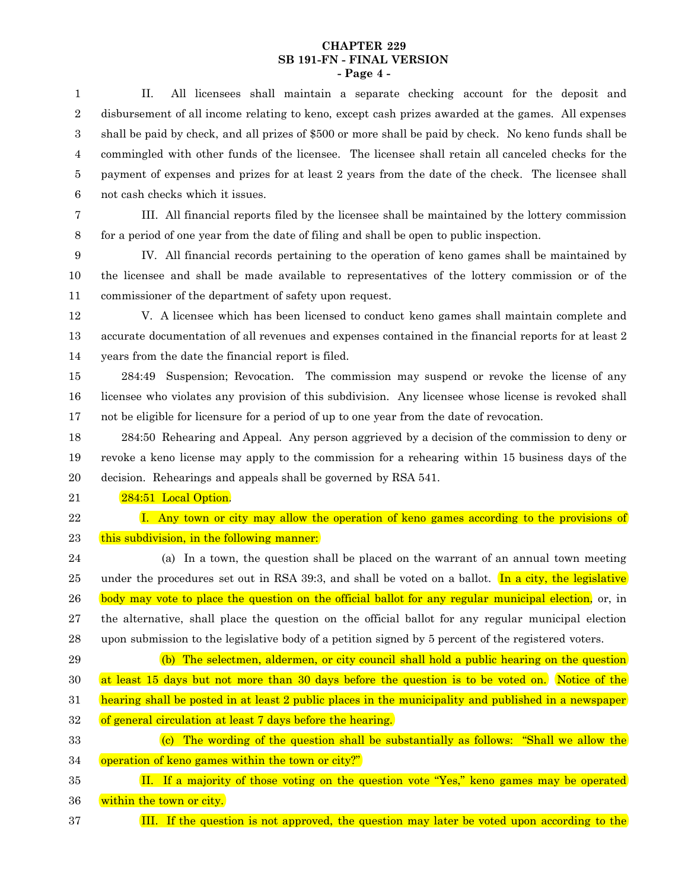## **CHAPTER 229 SB 191-FN - FINAL VERSION - Page 4 -**

II. All licensees shall maintain a separate checking account for the deposit and disbursement of all income relating to keno, except cash prizes awarded at the games. All expenses shall be paid by check, and all prizes of \$500 or more shall be paid by check. No keno funds shall be commingled with other funds of the licensee. The licensee shall retain all canceled checks for the payment of expenses and prizes for at least 2 years from the date of the check. The licensee shall not cash checks which it issues. 1 2 3 4 5 6

7

III. All financial reports filed by the licensee shall be maintained by the lottery commission for a period of one year from the date of filing and shall be open to public inspection. 8

IV. All financial records pertaining to the operation of keno games shall be maintained by the licensee and shall be made available to representatives of the lottery commission or of the commissioner of the department of safety upon request. 9 10 11

V. A licensee which has been licensed to conduct keno games shall maintain complete and accurate documentation of all revenues and expenses contained in the financial reports for at least 2 years from the date the financial report is filed. 12 13 14

284:49 Suspension; Revocation. The commission may suspend or revoke the license of any licensee who violates any provision of this subdivision. Any licensee whose license is revoked shall not be eligible for licensure for a period of up to one year from the date of revocation. 15 16 17

284:50 Rehearing and Appeal. Any person aggrieved by a decision of the commission to deny or revoke a keno license may apply to the commission for a rehearing within 15 business days of the decision. Rehearings and appeals shall be governed by RSA 541. 18 19 20

284:51 Local Option. 21

22

I. Any town or city may allow the operation of keno games according to the provisions of this subdivision, in the following manner: 23

(a) In a town, the question shall be placed on the warrant of an annual town meeting under the procedures set out in RSA 39:3, and shall be voted on a ballot. In a city, the legislative body may vote to place the question on the official ballot for any regular municipal election, or, in the alternative, shall place the question on the official ballot for any regular municipal election upon submission to the legislative body of a petition signed by 5 percent of the registered voters. 24 25 26 27 28

(b) The selectmen, aldermen, or city council shall hold a public hearing on the question at least 15 days but not more than 30 days before the question is to be voted on. Notice of the hearing shall be posted in at least 2 public places in the municipality and published in a newspaper of general circulation at least 7 days before the hearing. 29 30 31 32

 $(c)$  The wording of the question shall be substantially as follows: "Shall we allow the operation of keno games within the town or city?" 33 34

II. If a majority of those voting on the question vote "Yes," keno games may be operated within the town or city. 35 36

III. If the question is not approved, the question may later be voted upon according to the 37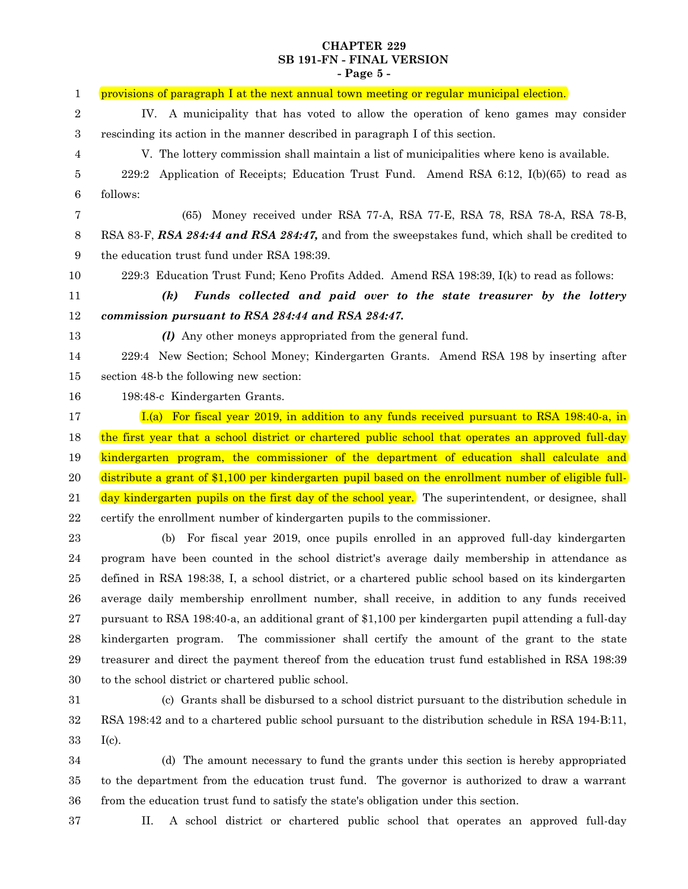## **CHAPTER 229 SB 191-FN - FINAL VERSION - Page 5 -**

| 1                | provisions of paragraph I at the next annual town meeting or regular municipal election.              |
|------------------|-------------------------------------------------------------------------------------------------------|
| $\boldsymbol{2}$ | IV. A municipality that has voted to allow the operation of keno games may consider                   |
| $\boldsymbol{3}$ | rescinding its action in the manner described in paragraph I of this section.                         |
| 4                | V. The lottery commission shall maintain a list of municipalities where keno is available.            |
| 5                | Application of Receipts; Education Trust Fund. Amend RSA 6:12, I(b)(65) to read as<br>229:2           |
| $\,6\,$          | follows:                                                                                              |
| 7                | (65) Money received under RSA 77-A, RSA 77-E, RSA 78, RSA 78-A, RSA 78-B,                             |
| $8\,$            | RSA 83-F, RSA 284:44 and RSA 284:47, and from the sweepstakes fund, which shall be credited to        |
| 9                | the education trust fund under RSA 198:39.                                                            |
| 10               | 229:3 Education Trust Fund; Keno Profits Added. Amend RSA 198:39, I(k) to read as follows:            |
| 11               | Funds collected and paid over to the state treasurer by the lottery<br>$\left( k\right)$              |
| 12               | commission pursuant to RSA 284:44 and RSA 284:47.                                                     |
| 13               | ( <i>l</i> ) Any other moneys appropriated from the general fund.                                     |
| 14               | 229:4 New Section; School Money; Kindergarten Grants. Amend RSA 198 by inserting after                |
| 15               | section 48-b the following new section:                                                               |
| 16               | 198:48-c Kindergarten Grants.                                                                         |
| 17               | $I(a)$ For fiscal year 2019, in addition to any funds received pursuant to RSA 198:40-a, in           |
| 18               | the first year that a school district or chartered public school that operates an approved full-day   |
| 19               | kindergarten program, the commissioner of the department of education shall calculate and             |
| 20               | distribute a grant of \$1,100 per kindergarten pupil based on the enrollment number of eligible full- |
| 21               | day kindergarten pupils on the first day of the school year. The superintendent, or designee, shall   |
| $\bf{22}$        | certify the enrollment number of kindergarten pupils to the commissioner.                             |
| 23               | For fiscal year 2019, once pupils enrolled in an approved full-day kindergarten<br>(b)                |
| 24               | program have been counted in the school district's average daily membership in attendance as          |
| 25               | defined in RSA 198:38, I, a school district, or a chartered public school based on its kindergarten   |
| 26               | average daily membership enrollment number, shall receive, in addition to any funds received          |
| 27               | pursuant to RSA 198:40-a, an additional grant of \$1,100 per kindergarten pupil attending a full-day  |
| 28               | The commissioner shall certify the amount of the grant to the state<br>kindergarten program.          |
| 29               | treasurer and direct the payment thereof from the education trust fund established in RSA 198:39      |
| 30               | to the school district or chartered public school.                                                    |
| 31               | (c) Grants shall be disbursed to a school district pursuant to the distribution schedule in           |
| $32\,$           | RSA 198:42 and to a chartered public school pursuant to the distribution schedule in RSA 194-B:11,    |
| 33               | $I(c)$ .                                                                                              |

(d) The amount necessary to fund the grants under this section is hereby appropriated to the department from the education trust fund. The governor is authorized to draw a warrant from the education trust fund to satisfy the state's obligation under this section. 34 35 36

37

II. A school district or chartered public school that operates an approved full-day